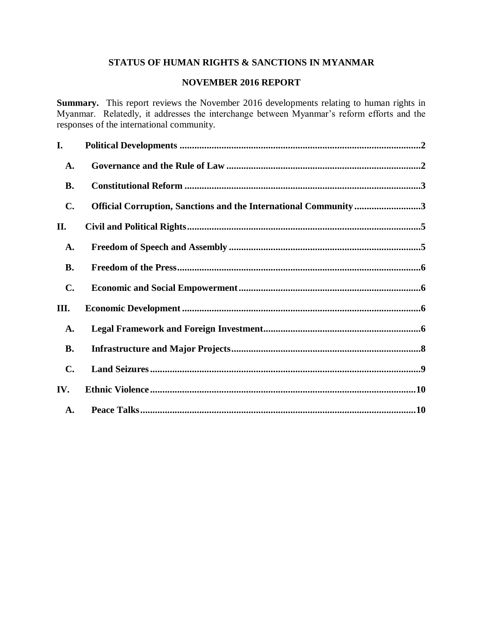# **STATUS OF HUMAN RIGHTS & SANCTIONS IN MYANMAR**

# **NOVEMBER 2016 REPORT**

**Summary.** This report reviews the November 2016 developments relating to human rights in Myanmar. Relatedly, it addresses the interchange between Myanmar's reform efforts and the responses of the international community.

| I.             |                                                                  |  |
|----------------|------------------------------------------------------------------|--|
| A.             |                                                                  |  |
| <b>B.</b>      |                                                                  |  |
| C.             | Official Corruption, Sanctions and the International Community 3 |  |
| П.             |                                                                  |  |
| A.             |                                                                  |  |
| <b>B.</b>      |                                                                  |  |
| $\mathbf{C}$ . |                                                                  |  |
| Ш.             |                                                                  |  |
| A.             |                                                                  |  |
| <b>B.</b>      |                                                                  |  |
| $\mathbf{C}$ . |                                                                  |  |
| IV.            |                                                                  |  |
| A.             |                                                                  |  |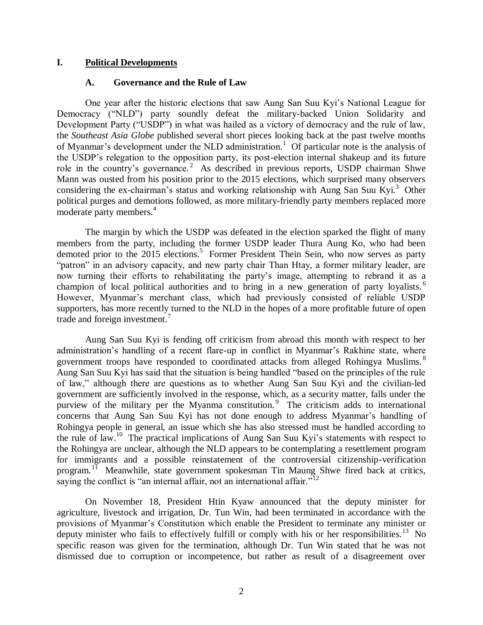#### <span id="page-1-1"></span><span id="page-1-0"></span>**I. Political Developments**

#### **A. Governance and the Rule of Law**

One year after the historic elections that saw Aung San Suu Kyi's National League for Democracy ("NLD") party soundly defeat the military-backed Union Solidarity and Development Party ("USDP") in what was hailed as a victory of democracy and the rule of law, the *Southeast Asia Globe* published several short pieces looking back at the past twelve months of Myanmar's development under the NLD administration.<sup>1</sup> Of particular note is the analysis of the USDP's relegation to the opposition party, its post-election internal shakeup and its future role in the country's governance.<sup>2</sup> As described in previous reports, USDP chairman Shwe Mann was ousted from his position prior to the 2015 elections, which surprised many observers considering the ex-chairman's status and working relationship with Aung San Suu Kyi.<sup>3</sup> Other political purges and demotions followed, as more military-friendly party members replaced more moderate party members.<sup>4</sup>

The margin by which the USDP was defeated in the election sparked the flight of many members from the party, including the former USDP leader Thura Aung Ko, who had been demoted prior to the 2015 elections.<sup>5</sup> Former President Thein Sein, who now serves as party "patron" in an advisory capacity, and new party chair Than Htay, a former military leader, are now turning their efforts to rehabilitating the party's image, attempting to rebrand it as a champion of local political authorities and to bring in a new generation of party loyalists.<sup>6</sup> However, Myanmar's merchant class, which had previously consisted of reliable USDP supporters, has more recently turned to the NLD in the hopes of a more profitable future of open trade and foreign investment.<sup>7</sup>

Aung San Suu Kyi is fending off criticism from abroad this month with respect to her administration's handling of a recent flare-up in conflict in Myanmar's Rakhine state, where government troops have responded to coordinated attacks from alleged Rohingya Muslims.<sup>8</sup> Aung San Suu Kyi has said that the situation is being handled "based on the principles of the rule of law," although there are questions as to whether Aung San Suu Kyi and the civilian-led government are sufficiently involved in the response, which, as a security matter, falls under the purview of the military per the Myanma constitution.<sup>9</sup> The criticism adds to international concerns that Aung San Suu Kyi has not done enough to address Myanmar's handling of Rohingya people in general, an issue which she has also stressed must be handled according to the rule of law.<sup>10</sup> The practical implications of Aung San Suu Kyi's statements with respect to the Rohingya are unclear, although the NLD appears to be contemplating a resettlement program for immigrants and a possible reinstatement of the controversial citizenship-verification program.<sup>11</sup> Meanwhile, state government spokesman Tin Maung Shwe fired back at critics, saying the conflict is "an internal affair, not an international affair."<sup>12</sup>

On November 18, President Htin Kyaw announced that the deputy minister for agriculture, livestock and irrigation, Dr. Tun Win, had been terminated in accordance with the provisions of Myanmar's Constitution which enable the President to terminate any minister or deputy minister who fails to effectively fulfill or comply with his or her responsibilities.<sup>13</sup> No specific reason was given for the termination, although Dr. Tun Win stated that he was not dismissed due to corruption or incompetence, but rather as result of a disagreement over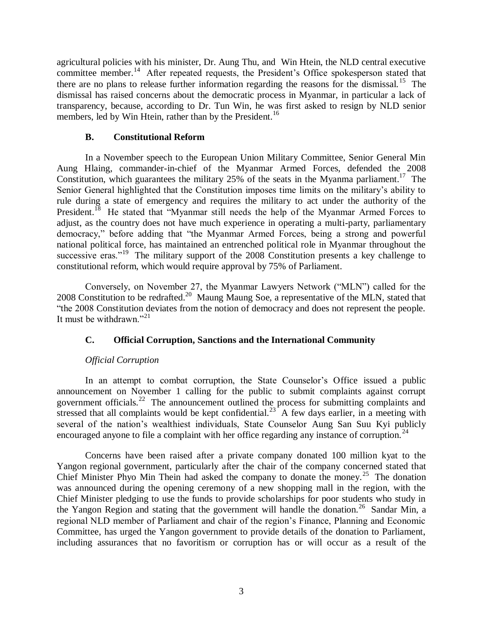agricultural policies with his minister, Dr. Aung Thu, and Win Htein, the NLD central executive committee member.<sup>14</sup> After repeated requests, the President's Office spokesperson stated that there are no plans to release further information regarding the reasons for the dismissal.<sup>15</sup> The dismissal has raised concerns about the democratic process in Myanmar, in particular a lack of transparency, because, according to Dr. Tun Win, he was first asked to resign by NLD senior members, led by Win Htein, rather than by the President.<sup>16</sup>

### **B. Constitutional Reform**

<span id="page-2-0"></span>In a November speech to the European Union Military Committee, Senior General Min Aung Hlaing, commander-in-chief of the Myanmar Armed Forces, defended the 2008 Constitution, which guarantees the military  $25\%$  of the seats in the Myanma parliament.<sup>17</sup> The Senior General highlighted that the Constitution imposes time limits on the military's ability to rule during a state of emergency and requires the military to act under the authority of the President.<sup>18</sup> He stated that "Myanmar still needs the help of the Myanmar Armed Forces to adjust, as the country does not have much experience in operating a multi-party, parliamentary democracy," before adding that "the Myanmar Armed Forces, being a strong and powerful national political force, has maintained an entrenched political role in Myanmar throughout the successive eras."<sup>19</sup> The military support of the 2008 Constitution presents a key challenge to constitutional reform, which would require approval by 75% of Parliament.

Conversely, on November 27, the Myanmar Lawyers Network ("MLN") called for the 2008 Constitution to be redrafted.<sup>20</sup> Maung Maung Soe, a representative of the MLN, stated that "the 2008 Constitution deviates from the notion of democracy and does not represent the people. It must be withdrawn."<sup>21</sup>

### <span id="page-2-1"></span>**C. Official Corruption, Sanctions and the International Community**

## *Official Corruption*

In an attempt to combat corruption, the State Counselor's Office issued a public announcement on November 1 calling for the public to submit complaints against corrupt government officials.<sup>22</sup> The announcement outlined the process for submitting complaints and stressed that all complaints would be kept confidential.<sup>23</sup> A few days earlier, in a meeting with several of the nation's wealthiest individuals, State Counselor Aung San Suu Kyi publicly encouraged anyone to file a complaint with her office regarding any instance of corruption.<sup>24</sup>

Concerns have been raised after a private company donated 100 million kyat to the Yangon regional government, particularly after the chair of the company concerned stated that Chief Minister Phyo Min Thein had asked the company to donate the money.<sup>25</sup> The donation was announced during the opening ceremony of a new shopping mall in the region, with the Chief Minister pledging to use the funds to provide scholarships for poor students who study in the Yangon Region and stating that the government will handle the donation.<sup>26</sup> Sandar Min, a regional NLD member of Parliament and chair of the region's Finance, Planning and Economic Committee, has urged the Yangon government to provide details of the donation to Parliament, including assurances that no favoritism or corruption has or will occur as a result of the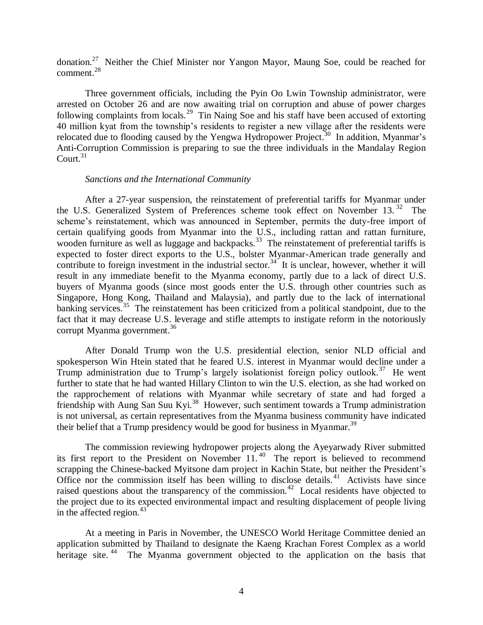donation.<sup>27</sup> Neither the Chief Minister nor Yangon Mayor, Maung Soe, could be reached for comment.<sup>28</sup>

Three government officials, including the Pyin Oo Lwin Township administrator, were arrested on October 26 and are now awaiting trial on corruption and abuse of power charges following complaints from locals.<sup>29</sup> Tin Naing Soe and his staff have been accused of extorting 40 million kyat from the township's residents to register a new village after the residents were relocated due to flooding caused by the Yengwa Hydropower Project.<sup>30</sup> In addition, Myanmar's Anti-Corruption Commission is preparing to sue the three individuals in the Mandalay Region Court. $31$ 

#### *Sanctions and the International Community*

After a 27-year suspension, the reinstatement of preferential tariffs for Myanmar under the U.S. Generalized System of Preferences scheme took effect on November 13.<sup>32</sup> The scheme's reinstatement, which was announced in September, permits the duty-free import of certain qualifying goods from Myanmar into the U.S., including rattan and rattan furniture, wooden furniture as well as luggage and backpacks.<sup>33</sup> The reinstatement of preferential tariffs is expected to foster direct exports to the U.S., bolster Myanmar-American trade generally and contribute to foreign investment in the industrial sector.<sup>34</sup> It is unclear, however, whether it will result in any immediate benefit to the Myanma economy, partly due to a lack of direct U.S. buyers of Myanma goods (since most goods enter the U.S. through other countries such as Singapore, Hong Kong, Thailand and Malaysia), and partly due to the lack of international banking services.<sup>35</sup> The reinstatement has been criticized from a political standpoint, due to the fact that it may decrease U.S. leverage and stifle attempts to instigate reform in the notoriously corrupt Myanma government.<sup>36</sup>

After Donald Trump won the U.S. presidential election, senior NLD official and spokesperson Win Htein stated that he feared U.S. interest in Myanmar would decline under a Trump administration due to Trump's largely isolationist foreign policy outlook.<sup>37</sup> He went further to state that he had wanted Hillary Clinton to win the U.S. election, as she had worked on the rapprochement of relations with Myanmar while secretary of state and had forged a friendship with Aung San Suu Kyi.<sup>38</sup> However, such sentiment towards a Trump administration is not universal, as certain representatives from the Myanma business community have indicated their belief that a Trump presidency would be good for business in Myanmar.<sup>39</sup>

The commission reviewing hydropower projects along the Ayeyarwady River submitted its first report to the President on November 11.<sup>40</sup> The report is believed to recommend scrapping the Chinese-backed Myitsone dam project in Kachin State, but neither the President's Office nor the commission itself has been willing to disclose details.<sup>41</sup> Activists have since raised questions about the transparency of the commission.<sup>42</sup> Local residents have objected to the project due to its expected environmental impact and resulting displacement of people living in the affected region. $43$ 

At a meeting in Paris in November, the UNESCO World Heritage Committee denied an application submitted by Thailand to designate the Kaeng Krachan Forest Complex as a world heritage site.<sup>44</sup> The Myanma government objected to the application on the basis that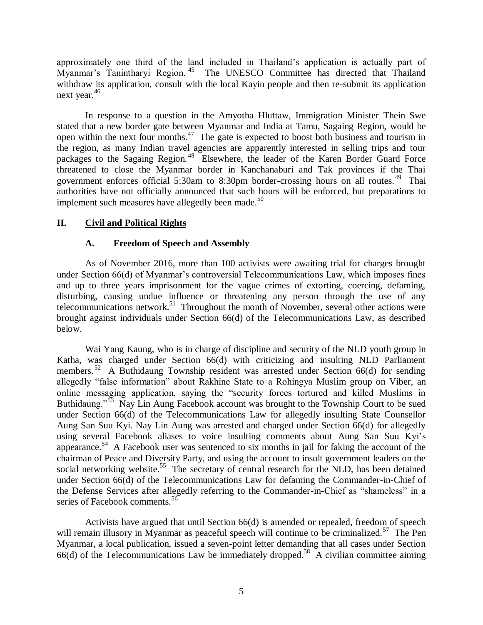approximately one third of the land included in Thailand's application is actually part of Myanmar's Tanintharyi Region.<sup>45</sup> The UNESCO Committee has directed that Thailand withdraw its application, consult with the local Kayin people and then re-submit its application next year.<sup>46</sup>

In response to a question in the Amyotha Hluttaw, Immigration Minister Thein Swe stated that a new border gate between Myanmar and India at Tamu, Sagaing Region, would be open within the next four months.<sup>47</sup> The gate is expected to boost both business and tourism in the region, as many Indian travel agencies are apparently interested in selling trips and tour packages to the Sagaing Region.<sup>48</sup> Elsewhere, the leader of the Karen Border Guard Force threatened to close the Myanmar border in Kanchanaburi and Tak provinces if the Thai government enforces official 5:30am to 8:30pm border-crossing hours on all routes.<sup>49</sup> Thai authorities have not officially announced that such hours will be enforced, but preparations to implement such measures have allegedly been made. $50$ 

## <span id="page-4-1"></span><span id="page-4-0"></span>**II. Civil and Political Rights**

## **A. Freedom of Speech and Assembly**

As of November 2016, more than 100 activists were awaiting trial for charges brought under Section 66(d) of Myanmar's controversial Telecommunications Law, which imposes fines and up to three years imprisonment for the vague crimes of extorting, coercing, defaming, disturbing, causing undue influence or threatening any person through the use of any telecommunications network.<sup>51</sup> Throughout the month of November, several other actions were brought against individuals under Section 66(d) of the Telecommunications Law, as described below.

Wai Yang Kaung, who is in charge of discipline and security of the NLD youth group in Katha, was charged under Section 66(d) with criticizing and insulting NLD Parliament members.<sup>52</sup> A Buthidaung Township resident was arrested under Section 66(d) for sending allegedly "false information" about Rakhine State to a Rohingya Muslim group on Viber, an online messaging application, saying the "security forces tortured and killed Muslims in Buthidaung."<sup>53</sup> Nay Lin Aung Facebook account was brought to the Township Court to be sued under Section 66(d) of the Telecommunications Law for allegedly insulting State Counsellor Aung San Suu Kyi. Nay Lin Aung was arrested and charged under Section 66(d) for allegedly using several Facebook aliases to voice insulting comments about Aung San Suu Kyi's appearance.<sup>54</sup> A Facebook user was sentenced to six months in jail for faking the account of the chairman of Peace and Diversity Party, and using the account to insult government leaders on the social networking website.<sup>55</sup> The secretary of central research for the NLD, has been detained under Section 66(d) of the Telecommunications Law for defaming the Commander-in-Chief of the Defense Services after allegedly referring to the Commander-in-Chief as "shameless" in a series of Facebook comments.<sup>56</sup>

Activists have argued that until Section 66(d) is amended or repealed, freedom of speech will remain illusory in Myanmar as peaceful speech will continue to be criminalized.<sup>57</sup> The Pen Myanmar, a local publication, issued a seven-point letter demanding that all cases under Section  $66(d)$  of the Telecommunications Law be immediately dropped.<sup>58</sup> A civilian committee aiming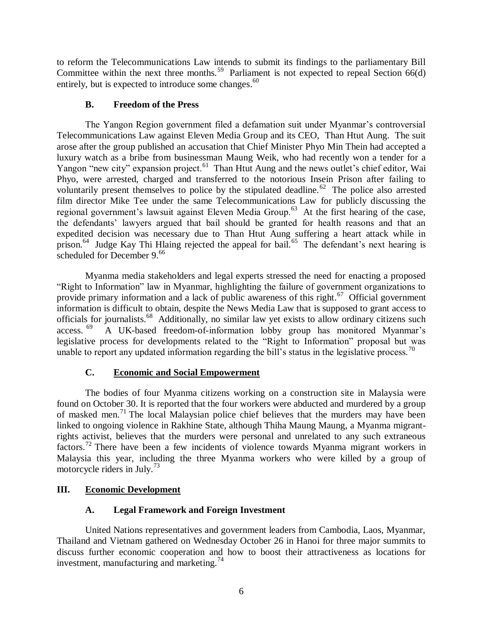to reform the Telecommunications Law intends to submit its findings to the parliamentary Bill Committee within the next three months.<sup>59</sup> Parliament is not expected to repeal Section  $66(d)$ entirely, but is expected to introduce some changes.<sup>60</sup>

# **B. Freedom of the Press**

<span id="page-5-0"></span>The Yangon Region government filed a defamation suit under Myanmar's controversial Telecommunications Law against Eleven Media Group and its CEO, Than Htut Aung. The suit arose after the group published an accusation that Chief Minister Phyo Min Thein had accepted a luxury watch as a bribe from businessman Maung Weik, who had recently won a tender for a Yangon "new city" expansion project.<sup>61</sup> Than Htut Aung and the news outlet's chief editor, Wai Phyo, were arrested, charged and transferred to the notorious Insein Prison after failing to voluntarily present themselves to police by the stipulated deadline.<sup>62</sup> The police also arrested film director Mike Tee under the same Telecommunications Law for publicly discussing the regional government's lawsuit against Eleven Media Group.<sup>63</sup> At the first hearing of the case, the defendants' lawyers argued that bail should be granted for health reasons and that an expedited decision was necessary due to Than Htut Aung suffering a heart attack while in prison.<sup>64</sup> Judge Kay Thi Hlaing rejected the appeal for bail.<sup>65</sup> The defendant's next hearing is scheduled for December  $9.66$ 

Myanma media stakeholders and legal experts stressed the need for enacting a proposed "Right to Information" law in Myanmar, highlighting the failure of government organizations to provide primary information and a lack of public awareness of this right.<sup>67</sup> Official government information is difficult to obtain, despite the News Media Law that is supposed to grant access to officials for journalists.<sup>68</sup> Additionally, no similar law yet exists to allow ordinary citizens such access. 69 A UK-based freedom-of-information lobby group has monitored Myanmar's legislative process for developments related to the "Right to Information" proposal but was unable to report any updated information regarding the bill's status in the legislative process.<sup>70</sup>

# **C. Economic and Social Empowerment**

<span id="page-5-1"></span>The bodies of four Myanma citizens working on a construction site in Malaysia were found on October 30. It is reported that the four workers were abducted and murdered by a group of masked men.<sup>71</sup> The local Malaysian police chief believes that the murders may have been linked to ongoing violence in Rakhine State, although Thiha Maung Maung, a Myanma migrantrights activist, believes that the murders were personal and unrelated to any such extraneous factors.<sup>72</sup> There have been a few incidents of violence towards Myanma migrant workers in Malaysia this year, including the three Myanma workers who were killed by a group of motorcycle riders in July.<sup>73</sup>

# <span id="page-5-3"></span><span id="page-5-2"></span>**III. Economic Development**

# **A. Legal Framework and Foreign Investment**

United Nations representatives and government leaders from Cambodia, Laos, Myanmar, Thailand and Vietnam gathered on Wednesday October 26 in Hanoi for three major summits to discuss further economic cooperation and how to boost their attractiveness as locations for investment, manufacturing and marketing.<sup>74</sup>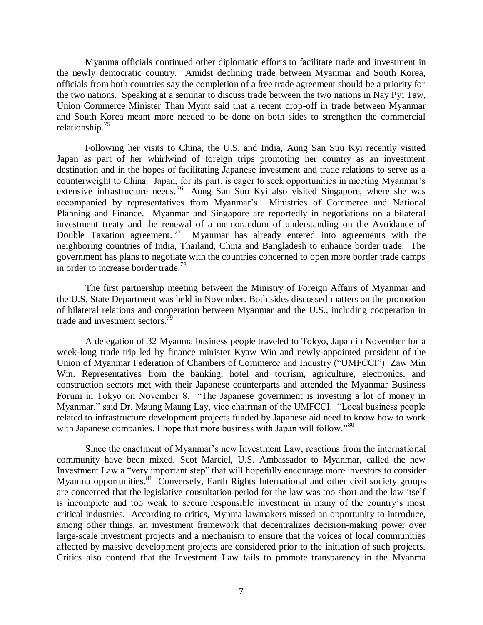Myanma officials continued other diplomatic efforts to facilitate trade and investment in the newly democratic country. Amidst declining trade between Myanmar and South Korea, officials from both countries say the completion of a free trade agreement should be a priority for the two nations. Speaking at a seminar to discuss trade between the two nations in Nay Pyi Taw, Union Commerce Minister Than Myint said that a recent drop-off in trade between Myanmar and South Korea meant more needed to be done on both sides to strengthen the commercial relationship. $^{75}$ 

Following her visits to China, the U.S. and India, Aung San Suu Kyi recently visited Japan as part of her whirlwind of foreign trips promoting her country as an investment destination and in the hopes of facilitating Japanese investment and trade relations to serve as a counterweight to China. Japan, for its part, is eager to seek opportunities in meeting Myanmar's extensive infrastructure needs.<sup>76</sup> Aung San Suu Kyi also visited Singapore, where she was accompanied by representatives from Myanmar's Ministries of Commerce and National Planning and Finance. Myanmar and Singapore are reportedly in negotiations on a bilateral investment treaty and the renewal of a memorandum of understanding on the Avoidance of Double Taxation agreement.<sup>77</sup> Myanmar has already entered into agreements with the neighboring countries of India, Thailand, China and Bangladesh to enhance border trade. The government has plans to negotiate with the countries concerned to open more border trade camps in order to increase border trade.<sup>78</sup>

The first partnership meeting between the Ministry of Foreign Affairs of Myanmar and the U.S. State Department was held in November. Both sides discussed matters on the promotion of bilateral relations and cooperation between Myanmar and the U.S., including cooperation in trade and investment sectors.<sup> $\bar{7}9$ </sup>

A delegation of 32 Myanma business people traveled to Tokyo, Japan in November for a week-long trade trip led by finance minister Kyaw Win and newly-appointed president of the Union of Myanmar Federation of Chambers of Commerce and Industry ("UMFCCI") Zaw Min Win. Representatives from the banking, hotel and tourism, agriculture, electronics, and construction sectors met with their Japanese counterparts and attended the Myanmar Business Forum in Tokyo on November 8. "The Japanese government is investing a lot of money in Myanmar," said Dr. Maung Maung Lay, vice chairman of the UMFCCI. "Local business people related to infrastructure development projects funded by Japanese aid need to know how to work with Japanese companies. I hope that more business with Japan will follow."<sup>80</sup>

Since the enactment of Myanmar's new Investment Law, reactions from the international community have been mixed. Scot Marciel, U.S. Ambassador to Myanmar, called the new Investment Law a "very important step" that will hopefully encourage more investors to consider Myanma opportunities.<sup>81</sup> Conversely, Earth Rights International and other civil society groups are concerned that the legislative consultation period for the law was too short and the law itself is incomplete and too weak to secure responsible investment in many of the country's most critical industries. According to critics, Mynma lawmakers missed an opportunity to introduce, among other things, an investment framework that decentralizes decision-making power over large-scale investment projects and a mechanism to ensure that the voices of local communities affected by massive development projects are considered prior to the initiation of such projects. Critics also contend that the Investment Law fails to promote transparency in the Myanma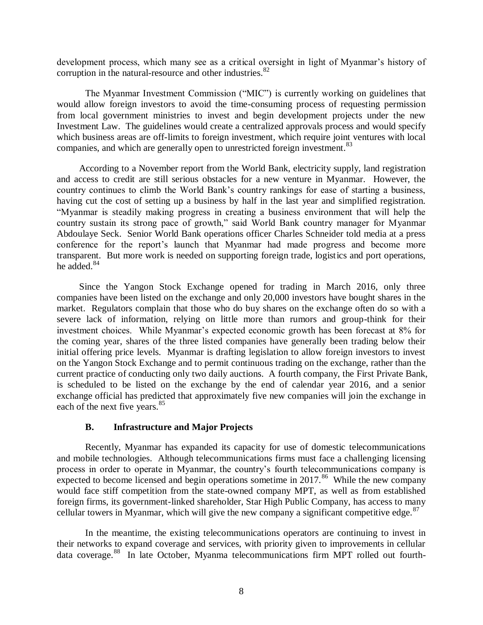development process, which many see as a critical oversight in light of Myanmar's history of corruption in the natural-resource and other industries. $82$ 

The Myanmar Investment Commission ("MIC") is currently working on guidelines that would allow foreign investors to avoid the time-consuming process of requesting permission from local government ministries to invest and begin development projects under the new Investment Law. The guidelines would create a centralized approvals process and would specify which business areas are off-limits to foreign investment, which require joint ventures with local companies, and which are generally open to unrestricted foreign investment.<sup>83</sup>

According to a November report from the World Bank, electricity supply, land registration and access to credit are still serious obstacles for a new venture in Myanmar. However, the country continues to climb the World Bank's country rankings for ease of starting a business, having cut the cost of setting up a business by half in the last year and simplified registration. "Myanmar is steadily making progress in creating a business environment that will help the country sustain its strong pace of growth," said World Bank country manager for Myanmar Abdoulaye Seck. Senior World Bank operations officer Charles Schneider told media at a press conference for the report's launch that Myanmar had made progress and become more transparent. But more work is needed on supporting foreign trade, logistics and port operations, he added.<sup>84</sup>

Since the Yangon Stock Exchange opened for trading in March 2016, only three companies have been listed on the exchange and only 20,000 investors have bought shares in the market. Regulators complain that those who do buy shares on the exchange often do so with a severe lack of information, relying on little more than rumors and group-think for their investment choices. While Myanmar's expected economic growth has been forecast at 8% for the coming year, shares of the three listed companies have generally been trading below their initial offering price levels. Myanmar is drafting legislation to allow foreign investors to invest on the Yangon Stock Exchange and to permit continuous trading on the exchange, rather than the current practice of conducting only two daily auctions. A fourth company, the First Private Bank, is scheduled to be listed on the exchange by the end of calendar year 2016, and a senior exchange official has predicted that approximately five new companies will join the exchange in each of the next five years.<sup>85</sup>

### **B. Infrastructure and Major Projects**

<span id="page-7-0"></span>Recently, Myanmar has expanded its capacity for use of domestic telecommunications and mobile technologies. Although telecommunications firms must face a challenging licensing process in order to operate in Myanmar, the country's fourth telecommunications company is expected to become licensed and begin operations sometime in  $2017$ .<sup>86</sup> While the new company would face stiff competition from the state-owned company MPT, as well as from established foreign firms, its government-linked shareholder, Star High Public Company, has access to many cellular towers in Myanmar, which will give the new company a significant competitive edge.  $87$ 

In the meantime, the existing telecommunications operators are continuing to invest in their networks to expand coverage and services, with priority given to improvements in cellular data coverage.<sup>88</sup> In late October, Myanma telecommunications firm MPT rolled out fourth-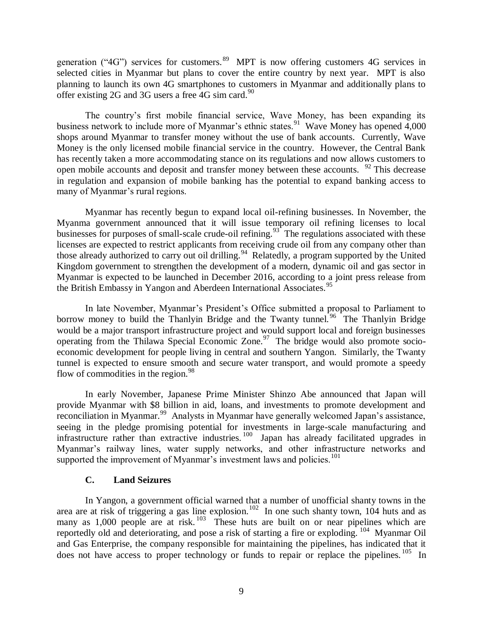generation ("4G") services for customers. <sup>89</sup> MPT is now offering customers 4G services in selected cities in Myanmar but plans to cover the entire country by next year. MPT is also planning to launch its own 4G smartphones to customers in Myanmar and additionally plans to offer existing 2G and 3G users a free  $4G \sin \text{card.}^{90}$ 

The country's first mobile financial service, Wave Money, has been expanding its business network to include more of Myanmar's ethnic states.<sup>91</sup> Wave Money has opened 4,000 shops around Myanmar to transfer money without the use of bank accounts. Currently, Wave Money is the only licensed mobile financial service in the country. However, the Central Bank has recently taken a more accommodating stance on its regulations and now allows customers to open mobile accounts and deposit and transfer money between these accounts. <sup>92</sup> This decrease in regulation and expansion of mobile banking has the potential to expand banking access to many of Myanmar's rural regions.

Myanmar has recently begun to expand local oil-refining businesses. In November, the Myanma government announced that it will issue temporary oil refining licenses to local businesses for purposes of small-scale crude-oil refining.<sup>93</sup> The regulations associated with these licenses are expected to restrict applicants from receiving crude oil from any company other than those already authorized to carry out oil drilling.<sup>94</sup> Relatedly, a program supported by the United Kingdom government to strengthen the development of a modern, dynamic oil and gas sector in Myanmar is expected to be launched in December 2016, according to a joint press release from the British Embassy in Yangon and Aberdeen International Associates.<sup>95</sup>

In late November, Myanmar's President's Office submitted a proposal to Parliament to borrow money to build the Thanlyin Bridge and the Twanty tunnel.<sup>96</sup> The Thanlyin Bridge would be a major transport infrastructure project and would support local and foreign businesses operating from the Thilawa Special Economic Zone. $97$  The bridge would also promote socioeconomic development for people living in central and southern Yangon. Similarly, the Twanty tunnel is expected to ensure smooth and secure water transport, and would promote a speedy flow of commodities in the region. $98$ 

In early November, Japanese Prime Minister Shinzo Abe announced that Japan will provide Myanmar with \$8 billion in aid, loans, and investments to promote development and reconciliation in Myanmar.<sup>99</sup> Analysts in Myanmar have generally welcomed Japan's assistance, seeing in the pledge promising potential for investments in large-scale manufacturing and infrastructure rather than extractive industries.<sup>100</sup> Japan has already facilitated upgrades in Myanmar's railway lines, water supply networks, and other infrastructure networks and supported the improvement of Myanmar's investment laws and policies.<sup>101</sup>

### **C. Land Seizures**

<span id="page-8-0"></span>In Yangon, a government official warned that a number of unofficial shanty towns in the area are at risk of triggering a gas line explosion.<sup>102</sup> In one such shanty town, 104 huts and as many as  $1,000$  people are at risk.  $103$  These huts are built on or near pipelines which are reportedly old and deteriorating, and pose a risk of starting a fire or exploding. <sup>104</sup> Myanmar Oil and Gas Enterprise, the company responsible for maintaining the pipelines, has indicated that it does not have access to proper technology or funds to repair or replace the pipelines.<sup>105</sup> In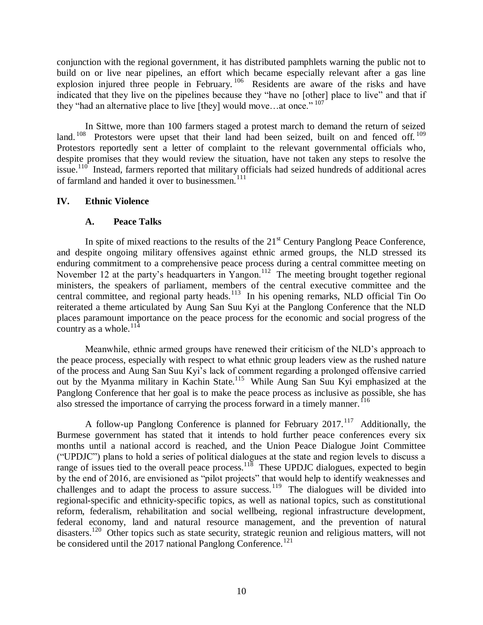conjunction with the regional government, it has distributed pamphlets warning the public not to build on or live near pipelines, an effort which became especially relevant after a gas line explosion injured three people in February.<sup>106</sup> Residents are aware of the risks and have indicated that they live on the pipelines because they "have no [other] place to live" and that if they "had an alternative place to live [they] would move...at once."  $107$ 

In Sittwe, more than 100 farmers staged a protest march to demand the return of seized land.<sup>108</sup> Protestors were upset that their land had been seized, built on and fenced off.<sup>109</sup> Protestors reportedly sent a letter of complaint to the relevant governmental officials who, despite promises that they would review the situation, have not taken any steps to resolve the issue.<sup>110</sup> Instead, farmers reported that military officials had seized hundreds of additional acres of farmland and handed it over to businessmen.<sup>111</sup>

### <span id="page-9-0"></span>**IV. Ethnic Violence**

## **A. Peace Talks**

<span id="page-9-1"></span>In spite of mixed reactions to the results of the  $21<sup>st</sup>$  Century Panglong Peace Conference, and despite ongoing military offensives against ethnic armed groups, the NLD stressed its enduring commitment to a comprehensive peace process during a central committee meeting on November 12 at the party's headquarters in Yangon.<sup>112</sup> The meeting brought together regional ministers, the speakers of parliament, members of the central executive committee and the central committee, and regional party heads.<sup>113</sup> In his opening remarks, NLD official Tin Oo reiterated a theme articulated by Aung San Suu Kyi at the Panglong Conference that the NLD places paramount importance on the peace process for the economic and social progress of the country as a whole. $^{114}$ 

Meanwhile, ethnic armed groups have renewed their criticism of the NLD's approach to the peace process, especially with respect to what ethnic group leaders view as the rushed nature of the process and Aung San Suu Kyi's lack of comment regarding a prolonged offensive carried out by the Myanma military in Kachin State.<sup>115</sup> While Aung San Suu Kyi emphasized at the Panglong Conference that her goal is to make the peace process as inclusive as possible, she has also stressed the importance of carrying the process forward in a timely manner.  $^{16}$ 

A follow-up Panglong Conference is planned for February  $2017$ .<sup>117</sup> Additionally, the Burmese government has stated that it intends to hold further peace conferences every six months until a national accord is reached, and the Union Peace Dialogue Joint Committee ("UPDJC") plans to hold a series of political dialogues at the state and region levels to discuss a range of issues tied to the overall peace process.<sup>118</sup> These UPDJC dialogues, expected to begin by the end of 2016, are envisioned as "pilot projects" that would help to identify weaknesses and challenges and to adapt the process to assure success.<sup>119</sup> The dialogues will be divided into regional-specific and ethnicity-specific topics, as well as national topics, such as constitutional reform, federalism, rehabilitation and social wellbeing, regional infrastructure development, federal economy, land and natural resource management, and the prevention of natural disasters.<sup>120</sup> Other topics such as state security, strategic reunion and religious matters, will not be considered until the  $2017$  national Panglong Conference.<sup>121</sup>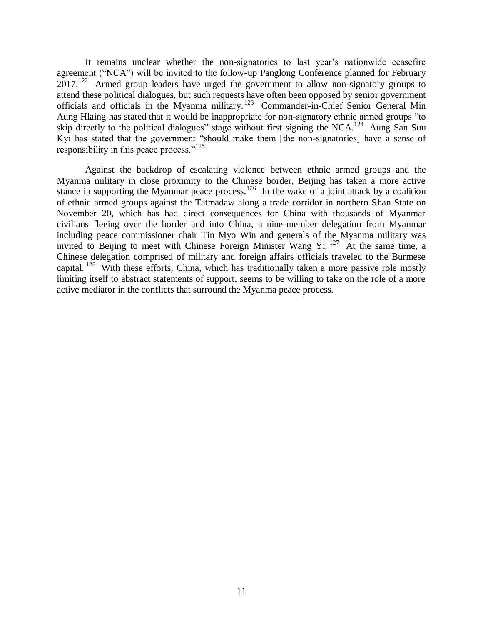It remains unclear whether the non-signatories to last year's nationwide ceasefire agreement ("NCA") will be invited to the follow-up Panglong Conference planned for February 2017.<sup>122</sup> Armed group leaders have urged the government to allow non-signatory groups to attend these political dialogues, but such requests have often been opposed by senior government officials and officials in the Myanma military.<sup>123</sup> Commander-in-Chief Senior General Min Aung Hlaing has stated that it would be inappropriate for non-signatory ethnic armed groups "to skip directly to the political dialogues" stage without first signing the NCA.<sup>124</sup> Aung San Suu Kyi has stated that the government "should make them [the non-signatories] have a sense of responsibility in this peace process."<sup>125</sup>

Against the backdrop of escalating violence between ethnic armed groups and the Myanma military in close proximity to the Chinese border, Beijing has taken a more active stance in supporting the Myanmar peace process.<sup>126</sup> In the wake of a joint attack by a coalition of ethnic armed groups against the Tatmadaw along a trade corridor in northern Shan State on November 20, which has had direct consequences for China with thousands of Myanmar civilians fleeing over the border and into China, a nine-member delegation from Myanmar including peace commissioner chair Tin Myo Win and generals of the Myanma military was invited to Beijing to meet with Chinese Foreign Minister Wang Yi.<sup>127</sup> At the same time, a Chinese delegation comprised of military and foreign affairs officials traveled to the Burmese capital.<sup>128</sup> With these efforts, China, which has traditionally taken a more passive role mostly limiting itself to abstract statements of support, seems to be willing to take on the role of a more active mediator in the conflicts that surround the Myanma peace process.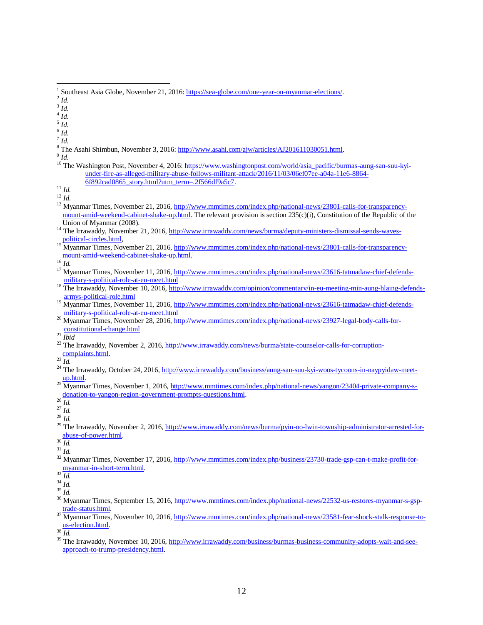$\overline{a}$ 

4 *Id*.

- 5 *Id*.
- 6 *Id*.
- 7 *Id*.
- <sup>8</sup> The Asahi Shimbun, November 3, 2016[: http://www.asahi.com/ajw/articles/AJ201611030051.html.](http://www.asahi.com/ajw/articles/AJ201611030051.html)

9 *Id*.

<sup>10</sup> The Washington Post, November 4, 2016: [https://www.washingtonpost.com/world/asia\\_pacific/burmas-aung-san-suu-kyi](https://www.washingtonpost.com/world/asia_pacific/burmas-aung-san-suu-kyi-under-fire-as-alleged-military-abuse-follows-militant-attack/2016/11/03/06ef07ee-a04a-11e6-8864-6f892cad0865_story.html?utm_term=.2f566df9a5c7)[under-fire-as-alleged-military-abuse-follows-militant-attack/2016/11/03/06ef07ee-a04a-11e6-8864-](https://www.washingtonpost.com/world/asia_pacific/burmas-aung-san-suu-kyi-under-fire-as-alleged-military-abuse-follows-militant-attack/2016/11/03/06ef07ee-a04a-11e6-8864-6f892cad0865_story.html?utm_term=.2f566df9a5c7) [6f892cad0865\\_story.html?utm\\_term=.2f566df9a5c7.](https://www.washingtonpost.com/world/asia_pacific/burmas-aung-san-suu-kyi-under-fire-as-alleged-military-abuse-follows-militant-attack/2016/11/03/06ef07ee-a04a-11e6-8864-6f892cad0865_story.html?utm_term=.2f566df9a5c7)

<sup>11</sup> *Id*.

<sup>12</sup> *Id*.

- <sup>13</sup> Myanmar Times, November 21, 2016[, http://www.mmtimes.com/index.php/national-news/23801-calls-for-transparency](http://www.mmtimes.com/index.php/national-news/23801-calls-for-transparency-mount-amid-weekend-cabinet-shake-up.html)[mount-amid-weekend-cabinet-shake-up.html.](http://www.mmtimes.com/index.php/national-news/23801-calls-for-transparency-mount-amid-weekend-cabinet-shake-up.html) The relevant provision is section 235(c)(i), Constitution of the Republic of the Union of Myanmar (2008).
- <sup>14</sup> The Irrawaddy, November 21, 2016, [http://www.irrawaddy.com/news/burma/deputy-ministers-dismissal-sends-waves](http://www.irrawaddy.com/news/burma/deputy-ministers-dismissal-sends-waves-political-circles.html)[political-circles.html,](http://www.irrawaddy.com/news/burma/deputy-ministers-dismissal-sends-waves-political-circles.html)
- <sup>15</sup> Myanmar Times, November 21, 2016, <u>http://www.mmtimes.com/index.php/national-news/23801-calls-for-transparency-</u> [mount-amid-weekend-cabinet-shake-up.html.](http://www.mmtimes.com/index.php/national-news/23801-calls-for-transparency-mount-amid-weekend-cabinet-shake-up.html)

 $^{16}$  *Id.* 

- <sup>17</sup> Myanmar Times, November 11, 2016[, http://www.mmtimes.com/index.php/national-news/23616-tatmadaw-chief-defends](http://www.mmtimes.com/index.php/national-news/23616-tatmadaw-chief-defends-military-s-political-role-at-eu-meet.html)[military-s-political-role-at-eu-meet.html](http://www.mmtimes.com/index.php/national-news/23616-tatmadaw-chief-defends-military-s-political-role-at-eu-meet.html)
- <sup>18</sup> The Irrawaddy, November 10, 2016, [http://www.irrawaddy.com/opinion/commentary/in-eu-meeting-min-aung-hlaing-defends](http://www.irrawaddy.com/opinion/commentary/in-eu-meeting-min-aung-hlaing-defends-armys-political-role.html)[armys-political-role.html](http://www.irrawaddy.com/opinion/commentary/in-eu-meeting-min-aung-hlaing-defends-armys-political-role.html)
- Myanmar Times, November 11, 2016[, http://www.mmtimes.com/index.php/national-news/23616-tatmadaw-chief-defends](http://www.mmtimes.com/index.php/national-news/23616-tatmadaw-chief-defends-military-s-political-role-at-eu-meet.html)[military-s-political-role-at-eu-meet.html](http://www.mmtimes.com/index.php/national-news/23616-tatmadaw-chief-defends-military-s-political-role-at-eu-meet.html)
- <sup>20</sup> Myanmar Times, November 28, 2016[, http://www.mmtimes.com/index.php/national-news/23927-legal-body-calls-for](http://www.mmtimes.com/index.php/national-news/23927-legal-body-calls-for-constitutional-change.html)[constitutional-change.html](http://www.mmtimes.com/index.php/national-news/23927-legal-body-calls-for-constitutional-change.html)
- $^{21}$   $\overline{\textit{Ibid}}$
- <sup>22</sup> The Irrawaddy, November 2, 2016[, http://www.irrawaddy.com/news/burma/state-counselor-calls-for-corruption-](http://www.irrawaddy.com/news/burma/state-counselor-calls-for-corruption-complaints.html)
- [complaints.html.](http://www.irrawaddy.com/news/burma/state-counselor-calls-for-corruption-complaints.html)

- <sup>24</sup> The Irrawaddy, October 24, 2016, [http://www.irrawaddy.com/business/aung-san-suu-kyi-woos-tycoons-in-naypyidaw-meet](http://www.irrawaddy.com/business/aung-san-suu-kyi-woos-tycoons-in-naypyidaw-meet-up.html)[up.html.](http://www.irrawaddy.com/business/aung-san-suu-kyi-woos-tycoons-in-naypyidaw-meet-up.html)
- <sup>25</sup> Myanmar Times, November 1, 2016, [http://www.mmtimes.com/index.php/national-news/yangon/23404-private-company-s](http://www.mmtimes.com/index.php/national-news/yangon/23404-private-company-s-donation-to-yangon-region-government-prompts-questions.html)[donation-to-yangon-region-government-prompts-questions.html.](http://www.mmtimes.com/index.php/national-news/yangon/23404-private-company-s-donation-to-yangon-region-government-prompts-questions.html)

 $^{26}$   $\overline{Id}$ .

<sup>29</sup> The Irrawaddy, November 2, 2016[, http://www.irrawaddy.com/news/burma/pyin-oo-lwin-township-administrator-arrested-for](http://www.irrawaddy.com/news/burma/pyin-oo-lwin-township-administrator-arrested-for-abuse-of-power.html)[abuse-of-power.html.](http://www.irrawaddy.com/news/burma/pyin-oo-lwin-township-administrator-arrested-for-abuse-of-power.html) 

<sup>32</sup> Myanmar Times, November 17, 2016[, http://www.mmtimes.com/index.php/business/23730-trade-gsp-can-t-make-profit-for-](http://www.mmtimes.com/index.php/business/23730-trade-gsp-can-t-make-profit-for-myanmar-in-short-term.html) $\frac{m \times m}{33}$ , is to verified.

- <sup>36</sup> Myanmar Times, September 15, 2016, <u>http://www.mmtimes.com/index.php/national-news/22532-us-restores-myanmar-s-gsp-</u> [trade-status.html.](http://www.mmtimes.com/index.php/national-news/22532-us-restores-myanmar-s-gsp-trade-status.html)
- <sup>37</sup> Myanmar Times, November 10, 2016[, http://www.mmtimes.com/index.php/national-news/23581-fear-shock-stalk-response-to](http://www.mmtimes.com/index.php/national-news/23581-fear-shock-stalk-response-to-us-election.html)[us-election.html.](http://www.mmtimes.com/index.php/national-news/23581-fear-shock-stalk-response-to-us-election.html)

 $^{38}\overline{Id}.$ 

<sup>39</sup> The Irrawaddy, November 10, 2016, [http://www.irrawaddy.com/business/burmas-business-community-adopts-wait-and-see](http://www.irrawaddy.com/business/burmas-business-community-adopts-wait-and-see-approach-to-trump-presidency.html)[approach-to-trump-presidency.html.](http://www.irrawaddy.com/business/burmas-business-community-adopts-wait-and-see-approach-to-trump-presidency.html) 

<sup>&</sup>lt;sup>1</sup> Southeast Asia Globe, November 21, 2016[: https://sea-globe.com/one-year-on-myanmar-elections/.](https://sea-globe.com/one-year-on-myanmar-elections/)

<sup>2</sup> *Id*.

<sup>3</sup> *Id*.

 $^{23}$  $\overline{Id}$ .

<sup>27</sup> *Id.*

<sup>28</sup> *Id.*

 $^{30}\overline{Id}.$ 

<sup>31</sup> *Id.*

*Id.* 

<sup>34</sup> *Id.*

<sup>35</sup> *Id.*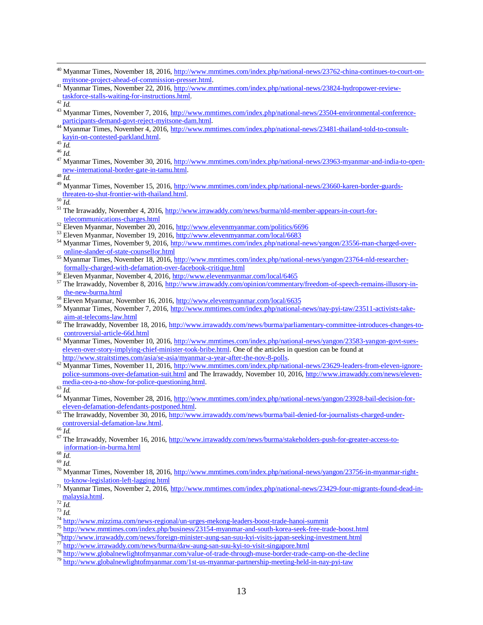- <sup>40</sup> Myanmar Times, November 18, 2016[, http://www.mmtimes.com/index.php/national-news/23762-china-continues-to-court-on](http://www.mmtimes.com/index.php/national-news/23762-china-continues-to-court-on-myitsone-project-ahead-of-commission-presser.html)[myitsone-project-ahead-of-commission-presser.html.](http://www.mmtimes.com/index.php/national-news/23762-china-continues-to-court-on-myitsone-project-ahead-of-commission-presser.html)
- <sup>41</sup> Myanmar Times, November 22, 2016[, http://www.mmtimes.com/index.php/national-news/23824-hydropower-review](http://www.mmtimes.com/index.php/national-news/23824-hydropower-review-taskforce-stalls-waiting-for-instructions.html)[taskforce-stalls-waiting-for-instructions.html.](http://www.mmtimes.com/index.php/national-news/23824-hydropower-review-taskforce-stalls-waiting-for-instructions.html)

 $\overline{a}$ 

- <sup>43</sup> Myanmar Times, November 7, 2016, [http://www.mmtimes.com/index.php/national-news/23504-environmental-conference](http://www.mmtimes.com/index.php/national-news/23504-environmental-conference-participants-demand-govt-reject-myitsone-dam.html)[participants-demand-govt-reject-myitsone-dam.html.](http://www.mmtimes.com/index.php/national-news/23504-environmental-conference-participants-demand-govt-reject-myitsone-dam.html)
- 44 Myanmar Times, November 4, 2016, [http://www.mmtimes.com/index.php/national-news/23481-thailand-told-to-consult](http://www.mmtimes.com/index.php/national-news/23481-thailand-told-to-consult-kayin-on-contested-parkland.html)[kayin-on-contested-parkland.html.](http://www.mmtimes.com/index.php/national-news/23481-thailand-told-to-consult-kayin-on-contested-parkland.html)

<sup>45</sup> *Id.*

<sup>46</sup> *Id.* 

<sup>47</sup> Myanmar Times, November 30, 2016[, http://www.mmtimes.com/index.php/national-news/23963-myanmar-and-india-to-open](http://www.mmtimes.com/index.php/national-news/23963-myanmar-and-india-to-open-new-international-border-gate-in-tamu.html)[new-international-border-gate-in-tamu.html.](http://www.mmtimes.com/index.php/national-news/23963-myanmar-and-india-to-open-new-international-border-gate-in-tamu.html)

<sup>48</sup> *Id.*

<sup>49</sup> Myanmar Times, November 15, 2016[, http://www.mmtimes.com/index.php/national-news/23660-karen-border-guards](http://www.mmtimes.com/index.php/national-news/23660-karen-border-guards-threaten-to-shut-frontier-with-thailand.html)[threaten-to-shut-frontier-with-thailand.html.](http://www.mmtimes.com/index.php/national-news/23660-karen-border-guards-threaten-to-shut-frontier-with-thailand.html)

 $^{50}\overline{Id}.$ 

- <sup>51</sup> The Irrawaddy, November 4, 2016[, http://www.irrawaddy.com/news/burma/nld-member-appears-in-court-for](http://www.irrawaddy.com/news/burma/nld-member-appears-in-court-for-telecommunications-charges.html)[telecommunications-charges.html](http://www.irrawaddy.com/news/burma/nld-member-appears-in-court-for-telecommunications-charges.html)
- <sup>52</sup> Eleven Myanmar, November 20, 2016,<http://www.elevenmyanmar.com/politics/6696>
- <sup>53</sup> Eleven Myanmar, November 19, 2016,<http://www.elevenmyanmar.com/local/6683>
- 54 Myanmar Times, November 9, 2016, [http://www.mmtimes.com/index.php/national-news/yangon/23556-man-charged-over](http://www.mmtimes.com/index.php/national-news/yangon/23556-man-charged-over-online-slander-of-state-counsellor.html)[online-slander-of-state-counsellor.html](http://www.mmtimes.com/index.php/national-news/yangon/23556-man-charged-over-online-slander-of-state-counsellor.html)
- <sup>55</sup> Myanmar Times, November 18, 2016, <u>http://www.mmtimes.com/index.php/national-news/yangon/23764-nld-researcher-</u> [formally-charged-with-defamation-over-facebook-critique.html](http://www.mmtimes.com/index.php/national-news/yangon/23764-nld-researcher-formally-charged-with-defamation-over-facebook-critique.html)
- <sup>56</sup> Eleven Myanmar, November 4, 2016, <u>http://www.elevenmyanmar.com/local/6465</u>
- $57$  The Irrawaddy, November 8, 2016[, http://www.irrawaddy.com/opinion/commentary/freedom-of-speech-remains-illusory-in](http://www.irrawaddy.com/opinion/commentary/freedom-of-speech-remains-illusory-in-the-new-burma.html)[the-new-burma.html](http://www.irrawaddy.com/opinion/commentary/freedom-of-speech-remains-illusory-in-the-new-burma.html)
- <sup>58</sup> Eleven Myanmar, November 16, 2016,<http://www.elevenmyanmar.com/local/6635>
- <sup>59</sup> Myanmar Times, November 7, 2016, [http://www.mmtimes.com/index.php/national-news/nay-pyi-taw/23511-activists-take](http://www.mmtimes.com/index.php/national-news/nay-pyi-taw/23511-activists-take-aim-at-telecoms-law.html)[aim-at-telecoms-law.html](http://www.mmtimes.com/index.php/national-news/nay-pyi-taw/23511-activists-take-aim-at-telecoms-law.html)
- <sup>60</sup> The Irrawaddy, November 18, 2016, [http://www.irrawaddy.com/news/burma/parliamentary-committee-introduces-changes-to](http://www.irrawaddy.com/news/burma/parliamentary-committee-introduces-changes-to-controversial-article-66d.html)[controversial-article-66d.html](http://www.irrawaddy.com/news/burma/parliamentary-committee-introduces-changes-to-controversial-article-66d.html)
- <sup>61</sup> Myanmar Times, November 10, 2016[, http://www.mmtimes.com/index.php/national-news/yangon/23583-yangon-govt-sues](http://www.mmtimes.com/index.php/national-news/yangon/23583-yangon-govt-sues-eleven-over-story-implying-chief-minister-took-bribe.html)[eleven-over-story-implying-chief-minister-took-bribe.html.](http://www.mmtimes.com/index.php/national-news/yangon/23583-yangon-govt-sues-eleven-over-story-implying-chief-minister-took-bribe.html) One of the articles in question can be found at [http://www.straitstimes.com/asia/se-asia/myanmar-a-year-after-the-nov-8-polls.](http://www.straitstimes.com/asia/se-asia/myanmar-a-year-after-the-nov-8-polls)
- $^{62}$  Myanmar Times, November 11, 2016[, http://www.mmtimes.com/index.php/national-news/23629-leaders-from-eleven-ignore](http://www.mmtimes.com/index.php/national-news/23629-leaders-from-eleven-ignore-police-summons-over-defamation-suit.html)[police-summons-over-defamation-suit.html](http://www.mmtimes.com/index.php/national-news/23629-leaders-from-eleven-ignore-police-summons-over-defamation-suit.html) and The Irrawaddy, November 10, 2016[, http://www.irrawaddy.com/news/eleven](http://www.irrawaddy.com/news/eleven-media-ceo-a-no-show-for-police-questioning.html)[media-ceo-a-no-show-for-police-questioning.html.](http://www.irrawaddy.com/news/eleven-media-ceo-a-no-show-for-police-questioning.html)

 $^{63}$  *Id.* 

- <sup>64</sup> Myanmar Times, November 28, 2016[, http://www.mmtimes.com/index.php/national-news/yangon/23928-bail-decision-for](http://www.mmtimes.com/index.php/national-news/yangon/23928-bail-decision-for-eleven-defamation-defendants-postponed.html)[eleven-defamation-defendants-postponed.html.](http://www.mmtimes.com/index.php/national-news/yangon/23928-bail-decision-for-eleven-defamation-defendants-postponed.html)
- <sup>65</sup> The Irrawaddy, November 30, 2016, [http://www.irrawaddy.com/news/burma/bail-denied-for-journalists-charged-under](http://www.irrawaddy.com/news/burma/bail-denied-for-journalists-charged-under-controversial-defamation-law.html)[controversial-defamation-law.html.](http://www.irrawaddy.com/news/burma/bail-denied-for-journalists-charged-under-controversial-defamation-law.html)

 $^{66}\overline{Id}.$ 

 $\frac{67}{10}$  The Irrawaddy, November 16, 2016, [http://www.irrawaddy.com/news/burma/stakeholders-push-for-greater-access-to](http://www.irrawaddy.com/news/burma/stakeholders-push-for-greater-access-to-information-in-burma.html)[information-in-burma.html](http://www.irrawaddy.com/news/burma/stakeholders-push-for-greater-access-to-information-in-burma.html)

<sup>68</sup> *Id*.

- <sup>69</sup> *Id*.
- <sup>70</sup> Myanmar Times, November 18, 2016[, http://www.mmtimes.com/index.php/national-news/yangon/23756-in-myanmar-right](http://www.mmtimes.com/index.php/national-news/yangon/23756-in-myanmar-right-to-know-legislation-left-lagging.html)[to-know-legislation-left-lagging.html](http://www.mmtimes.com/index.php/national-news/yangon/23756-in-myanmar-right-to-know-legislation-left-lagging.html)
- <sup>71</sup> Myanmar Times, November 2, 2016, [http://www.mmtimes.com/index.php/national-news/23429-four-migrants-found-dead-in](http://www.mmtimes.com/index.php/national-news/23429-four-migrants-found-dead-in-malaysia.html)[malaysia.html.](http://www.mmtimes.com/index.php/national-news/23429-four-migrants-found-dead-in-malaysia.html)

<sup>72</sup> *Id.*

<sup>73</sup> *Id.* 

- <sup>74</sup> <http://www.mizzima.com/news-regional/un-urges-mekong-leaders-boost-trade-hanoi-summit>
- <sup>75</sup> <http://www.mmtimes.com/index.php/business/23154-myanmar-and-south-korea-seek-free-trade-boost.html>
- <sup>76</sup><http://www.irrawaddy.com/news/foreign-minister-aung-san-suu-kyi-visits-japan-seeking-investment.html>
- <sup>77</sup> <http://www.irrawaddy.com/news/burma/daw-aung-san-suu-kyi-to-visit-singapore.html>
- <sup>78</sup> <http://www.globalnewlightofmyanmar.com/value-of-trade-through-muse-border-trade-camp-on-the-decline>
- <sup>79</sup> http://www<u>.globalnewlightofmyanmar.com/1st-us-myanmar-partnership-meeting-held-in-nay-pyi-taw</u>

 $^{42}$   $\overline{Id.}$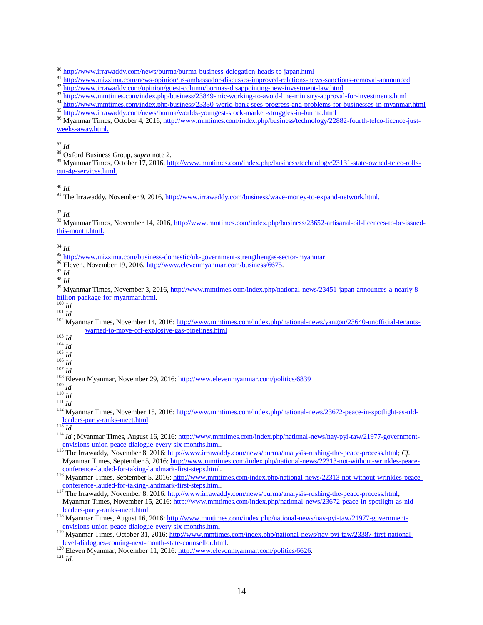<sup>86</sup> Myanmar Times, October 4, 2016, [http://www.mmtimes.com/index.php/business/technology/22882-fourth-telco-licence-just](http://www.mmtimes.com/index.php/business/technology/22882-fourth-telco-licence-just-weeks-away.html)[weeks-away.html.](http://www.mmtimes.com/index.php/business/technology/22882-fourth-telco-licence-just-weeks-away.html)

<sup>87</sup> *Id*.

 $\overline{a}$ 

<sup>88</sup> Oxford Business Group, *supra* note 2.

<sup>89</sup> Myanmar Times, October 17, 2016[, http://www.mmtimes.com/index.php/business/technology/23131-state-owned-telco-rolls](http://www.mmtimes.com/index.php/business/technology/23131-state-owned-telco-rolls-out-4g-services.html)[out-4g-services.html.](http://www.mmtimes.com/index.php/business/technology/23131-state-owned-telco-rolls-out-4g-services.html)

<sup>90</sup> *Id.*

<sup>91</sup> The Irrawaddy, November 9, 2016[, http://www.irrawaddy.com/business/wave-money-to-expand-network.html.](http://www.irrawaddy.com/business/wave-money-to-expand-network.html)

<sup>92</sup> *Id.*

<sup>93</sup> Myanmar Times, November 14, 2016[, http://www.mmtimes.com/index.php/business/23652-artisanal-oil-licences-to-be-issued](http://www.mmtimes.com/index.php/business/23652-artisanal-oil-licences-to-be-issued-this-month.html)[this-month.html.](http://www.mmtimes.com/index.php/business/23652-artisanal-oil-licences-to-be-issued-this-month.html)

<sup>94</sup> *Id.*

<sup>95</sup> <http://www.mizzima.com/business-domestic/uk-government-strengthengas-sector-myanmar>

<sup>96</sup> Eleven, November 19, 2016, [http://www.elevenmyanmar.com/business/6675.](http://www.elevenmyanmar.com/business/6675)

<sup>97</sup> *Id.*

<sup>98</sup> *Id.*

<sup>99</sup> Myanmar Times, November 3, 2016, [http://www.mmtimes.com/index.php/national-news/23451-japan-announces-a-nearly-8](http://www.mmtimes.com/index.php/national-news/23451-japan-announces-a-nearly-8-billion-package-for-myanmar.html) [billion-package-for-myanmar.html.](http://www.mmtimes.com/index.php/national-news/23451-japan-announces-a-nearly-8-billion-package-for-myanmar.html)

 $\frac{100}{100}$  *Id.* 

<sup>101</sup> *Id.*

- <sup>102</sup> Myanmar Times, November 14, 2016: [http://www.mmtimes.com/index.php/national-news/yangon/23640-unofficial-tenants](http://www.mmtimes.com/index.php/national-news/yangon/23640-unofficial-tenants-warned-to-move-off-explosive-gas-pipelines.html)[warned-to-move-off-explosive-gas-pipelines.html](http://www.mmtimes.com/index.php/national-news/yangon/23640-unofficial-tenants-warned-to-move-off-explosive-gas-pipelines.html)
- <sup>103</sup> *Id.*
- $104 \frac{1}{10}$ .
- $105$   $\bar{I}$   $\bar{d}$  .  $106$   $\bar{I}$   $d.$

 $^{107}\dot{I}d.$ 

- <sup>108</sup> Eleven Myanmar, November 29, 2016:<http://www.elevenmyanmar.com/politics/6839>
- <sup>109</sup> *Id.*

<sup>110</sup> *Id.*

<sup>111</sup> *Id.*

<sup>112</sup> Myanmar Times, November 15, 2016: [http://www.mmtimes.com/index.php/national-news/23672-peace-in-spotlight-as-nld](http://www.mmtimes.com/index.php/national-news/23672-peace-in-spotlight-as-nld-leaders-party-ranks-meet.html)[leaders-party-ranks-meet.html.](http://www.mmtimes.com/index.php/national-news/23672-peace-in-spotlight-as-nld-leaders-party-ranks-meet.html)

<sup>113</sup> *Id.*

<sup>114</sup> *Id.*; Myanmar Times, August 16, 2016: [http://www.mmtimes.com/index.php/national-news/nay-pyi-taw/21977-government](http://www.mmtimes.com/index.php/national-news/nay-pyi-taw/21977-government-envisions-union-peace-dialogue-every-six-months.html)[envisions-union-peace-dialogue-every-six-months.html.](http://www.mmtimes.com/index.php/national-news/nay-pyi-taw/21977-government-envisions-union-peace-dialogue-every-six-months.html)

115 The Irrawaddy, November 8, 2016: [http://www.irrawaddy.com/news/burma/analysis-rushing-the-peace-process.html;](http://www.irrawaddy.com/news/burma/analysis-rushing-the-peace-process.html) *Cf.* Myanmar Times, September 5, 2016: [http://www.mmtimes.com/index.php/national-news/22313-not-without-wrinkles-peace](http://www.mmtimes.com/index.php/national-news/22313-not-without-wrinkles-peace-conference-lauded-for-taking-landmark-first-steps.html)[conference-lauded-for-taking-landmark-first-steps.html.](http://www.mmtimes.com/index.php/national-news/22313-not-without-wrinkles-peace-conference-lauded-for-taking-landmark-first-steps.html)

<sup>117</sup> The Irrawaddy, November 8, 2016: <u>http://www.irrawaddy.com/news/burma/analysis-rushing-the-peace-process.html;</u> Myanmar Times, November 15, 2016: [http://www.mmtimes.com/index.php/national-news/23672-peace-in-spotlight-as-nld](http://www.mmtimes.com/index.php/national-news/23672-peace-in-spotlight-as-nld-leaders-party-ranks-meet.html)[leaders-party-ranks-meet.html.](http://www.mmtimes.com/index.php/national-news/23672-peace-in-spotlight-as-nld-leaders-party-ranks-meet.html)

118 Myanmar Times, August 16, 2016: [http://www.mmtimes.com/index.php/national-news/nay-pyi-taw/21977-government](http://www.mmtimes.com/index.php/national-news/nay-pyi-taw/21977-government-envisions-union-peace-dialogue-every-six-months.html)[envisions-union-peace-dialogue-every-six-months.html](http://www.mmtimes.com/index.php/national-news/nay-pyi-taw/21977-government-envisions-union-peace-dialogue-every-six-months.html)

119 Myanmar Times, October 31, 2016: [http://www.mmtimes.com/index.php/national-news/nay-pyi-taw/23387-first-national](http://www.mmtimes.com/index.php/national-news/nay-pyi-taw/23387-first-national-level-dialogues-coming-next-month-state-counsellor.html)[level-dialogues-coming-next-month-state-counsellor.html.](http://www.mmtimes.com/index.php/national-news/nay-pyi-taw/23387-first-national-level-dialogues-coming-next-month-state-counsellor.html)

 $120$  Eleven Myanmar, November 11, 2016: http://www.elevenmyanmar.com/politics/6626.

<sup>121</sup> *Id*.

<sup>&</sup>lt;sup>80</sup> <http://www.irrawaddy.com/news/burma/burma-business-delegation-heads-to-japan.html>

<sup>81</sup> <http://www.mizzima.com/news-opinion/us-ambassador-discusses-improved-relations-news-sanctions-removal-announced>

<sup>82</sup> http://www.irrawaddv.com/opinion/guest-column/burmas-disappointing-new-investment-law.html

 $\frac{83}{\text{http://www.mmtimes.com/index.php/business/23849-mic-working-to-avoid-line-ministry-approxal-for-investments.html}}$ 

 $\frac{\text{exp}(x)}{\text{http://www.mmtimes.com/index.php/business/23330-word-d-bank-sees-progressive}}$ <sup>85</sup> <http://www.irrawaddy.com/news/burma/worlds-youngest-stock-market-struggles-in-burma.html>

<sup>&</sup>lt;sup>116</sup> Myanmar Times, September 5, 2016: [http://www.mmtimes.com/index.php/national-news/22313-not-without-wrinkles-peace](http://www.mmtimes.com/index.php/national-news/22313-not-without-wrinkles-peace-conference-lauded-for-taking-landmark-first-steps.html)[conference-lauded-for-taking-landmark-first-steps.html.](http://www.mmtimes.com/index.php/national-news/22313-not-without-wrinkles-peace-conference-lauded-for-taking-landmark-first-steps.html)